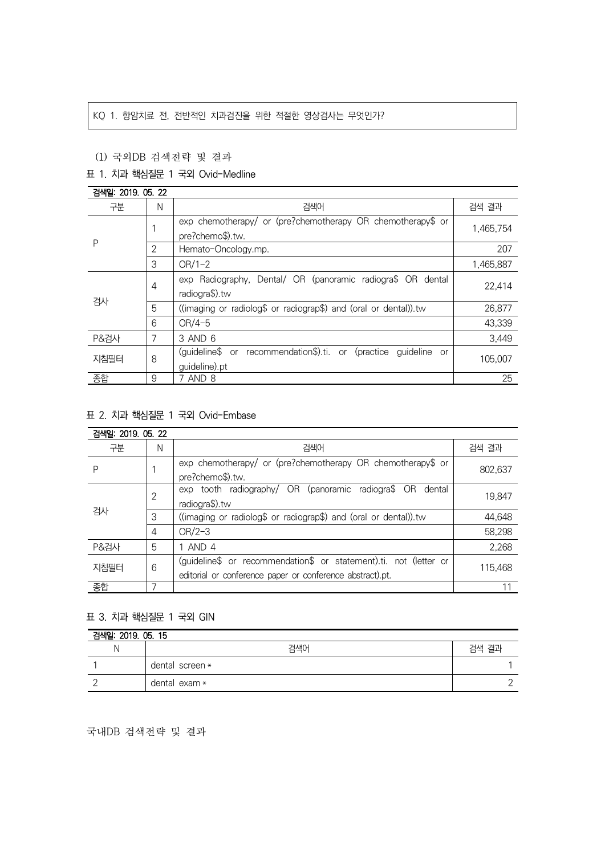### KQ 1. 항암치료 전, 전반적인 치과검진을 위한 적절한 영상검사는 무엇인가?

# (1) 국외DB 검색전략 및 결과

# 표 1. 치과 핵심질문 1 국외 Ovid-Medline

| 검색일: 2019, 05, 22 |                |                                                                                         |           |  |
|-------------------|----------------|-----------------------------------------------------------------------------------------|-----------|--|
| 구분                | N              | 검색어                                                                                     | 검색 결과     |  |
| P                 |                | exp chemotherapy/ or (pre?chemotherapy OR chemotherapy\$ or<br>pre?chemo\$).tw.         | 1,465,754 |  |
|                   | $\overline{2}$ | Hemato-Oncology.mp.                                                                     | 207       |  |
|                   | 3              | $OR/1-2$                                                                                | 1,465,887 |  |
| 검사                | 4              | exp Radiography, Dental/ OR (panoramic radiogra\$ OR dental<br>radiogra\$).tw           | 22,414    |  |
|                   | 5              | ((imaging or radiolog\$ or radiograp\$) and (oral or dental)).tw                        | 26,877    |  |
|                   | 6              | $OR/4-5$                                                                                | 43,339    |  |
| <b>P&amp;검사</b>   | 7              | 3 AND 6                                                                                 | 3,449     |  |
| 지침필터              | 8              | (guideline\$ or recommendation\$).ti. or<br>(practice)<br>quideline or<br>guideline).pt | 105.007   |  |
| 종합                | 9              | 7 AND 8                                                                                 | 25        |  |
|                   |                |                                                                                         |           |  |

표 2. 치과 핵심질문 1 국외 Ovid-Embase

| 검색일: 2019, 05, 22 |   |                                                                                                                                |         |
|-------------------|---|--------------------------------------------------------------------------------------------------------------------------------|---------|
| 구분                | N | 검색어                                                                                                                            | 검색 결과   |
| Ρ                 |   | exp chemotherapy/ or (pre?chemotherapy OR chemotherapy\$ or<br>pre?chemo\$).tw.                                                | 802,637 |
| 검사                | 2 | exp tooth radiography/ OR (panoramic radiogra\$ OR<br>dental<br>radiogra\$).tw                                                 | 19.847  |
|                   | 3 | ((imaging or radiolog\$ or radiograp\$) and (oral or dental)).tw                                                               | 44,648  |
|                   | 4 | $OR/2-3$                                                                                                                       | 58,298  |
| P&검사              | 5 | AND 4                                                                                                                          | 2,268   |
| 지침필터              | 6 | (guideline\$ or recommendation\$ or statement).ti. not (letter or<br>editorial or conference paper or conference abstract).pt. | 115,468 |
| 종합                |   |                                                                                                                                |         |

# 표 3. 치과 핵심질문 1 국외 GIN

| 검색일: 2019. 05. 15 |                 |       |  |
|-------------------|-----------------|-------|--|
|                   | 검색어             | 검색 결과 |  |
|                   | dental screen * |       |  |
|                   | dental exam *   |       |  |

국내DB 검색전략 및 결과